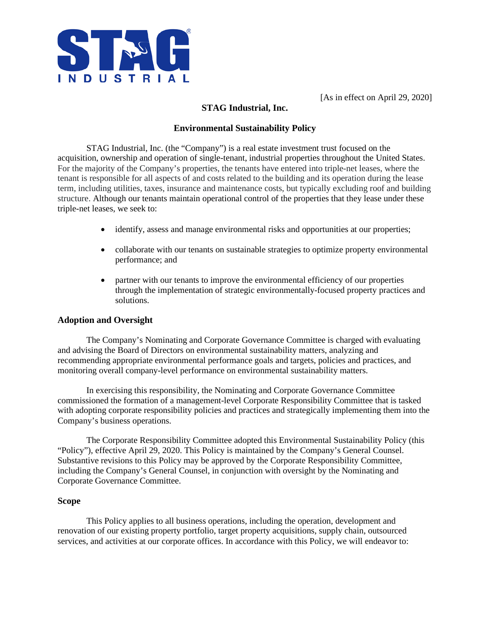

[As in effect on April 29, 2020]

# **STAG Industrial, Inc.**

## **Environmental Sustainability Policy**

STAG Industrial, Inc. (the "Company") is a real estate investment trust focused on the acquisition, ownership and operation of single-tenant, industrial properties throughout the United States. For the majority of the Company's properties, the tenants have entered into triple-net leases, where the tenant is responsible for all aspects of and costs related to the building and its operation during the lease term, including utilities, taxes, insurance and maintenance costs, but typically excluding roof and building structure. Although our tenants maintain operational control of the properties that they lease under these triple-net leases, we seek to:

- identify, assess and manage environmental risks and opportunities at our properties;
- collaborate with our tenants on sustainable strategies to optimize property environmental performance; and
- partner with our tenants to improve the environmental efficiency of our properties through the implementation of strategic environmentally-focused property practices and solutions.

### **Adoption and Oversight**

The Company's Nominating and Corporate Governance Committee is charged with evaluating and advising the Board of Directors on environmental sustainability matters, analyzing and recommending appropriate environmental performance goals and targets, policies and practices, and monitoring overall company-level performance on environmental sustainability matters.

In exercising this responsibility, the Nominating and Corporate Governance Committee commissioned the formation of a management-level Corporate Responsibility Committee that is tasked with adopting corporate responsibility policies and practices and strategically implementing them into the Company's business operations.

The Corporate Responsibility Committee adopted this Environmental Sustainability Policy (this "Policy"), effective April 29, 2020. This Policy is maintained by the Company's General Counsel. Substantive revisions to this Policy may be approved by the Corporate Responsibility Committee, including the Company's General Counsel, in conjunction with oversight by the Nominating and Corporate Governance Committee.

### **Scope**

This Policy applies to all business operations, including the operation, development and renovation of our existing property portfolio, target property acquisitions, supply chain, outsourced services, and activities at our corporate offices. In accordance with this Policy, we will endeavor to: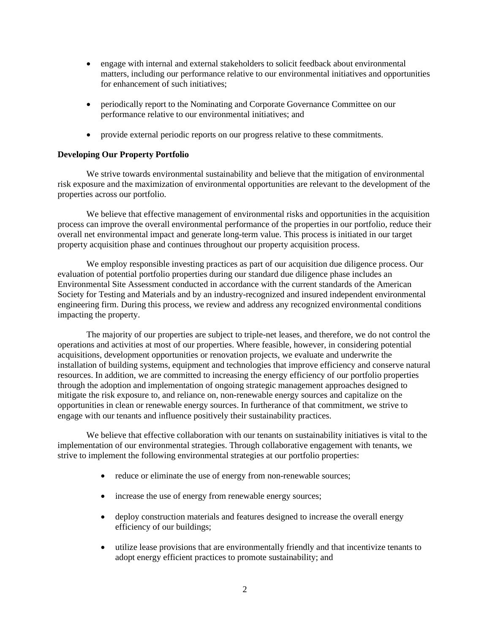- engage with internal and external stakeholders to solicit feedback about environmental matters, including our performance relative to our environmental initiatives and opportunities for enhancement of such initiatives;
- periodically report to the Nominating and Corporate Governance Committee on our performance relative to our environmental initiatives; and
- provide external periodic reports on our progress relative to these commitments.

#### **Developing Our Property Portfolio**

We strive towards environmental sustainability and believe that the mitigation of environmental risk exposure and the maximization of environmental opportunities are relevant to the development of the properties across our portfolio.

We believe that effective management of environmental risks and opportunities in the acquisition process can improve the overall environmental performance of the properties in our portfolio, reduce their overall net environmental impact and generate long-term value. This process is initiated in our target property acquisition phase and continues throughout our property acquisition process.

We employ responsible investing practices as part of our acquisition due diligence process. Our evaluation of potential portfolio properties during our standard due diligence phase includes an Environmental Site Assessment conducted in accordance with the current standards of the American Society for Testing and Materials and by an industry-recognized and insured independent environmental engineering firm. During this process, we review and address any recognized environmental conditions impacting the property.

The majority of our properties are subject to triple-net leases, and therefore, we do not control the operations and activities at most of our properties. Where feasible, however, in considering potential acquisitions, development opportunities or renovation projects, we evaluate and underwrite the installation of building systems, equipment and technologies that improve efficiency and conserve natural resources. In addition, we are committed to increasing the energy efficiency of our portfolio properties through the adoption and implementation of ongoing strategic management approaches designed to mitigate the risk exposure to, and reliance on, non-renewable energy sources and capitalize on the opportunities in clean or renewable energy sources. In furtherance of that commitment, we strive to engage with our tenants and influence positively their sustainability practices.

We believe that effective collaboration with our tenants on sustainability initiatives is vital to the implementation of our environmental strategies. Through collaborative engagement with tenants, we strive to implement the following environmental strategies at our portfolio properties:

- reduce or eliminate the use of energy from non-renewable sources;
- increase the use of energy from renewable energy sources;
- deploy construction materials and features designed to increase the overall energy efficiency of our buildings;
- utilize lease provisions that are environmentally friendly and that incentivize tenants to adopt energy efficient practices to promote sustainability; and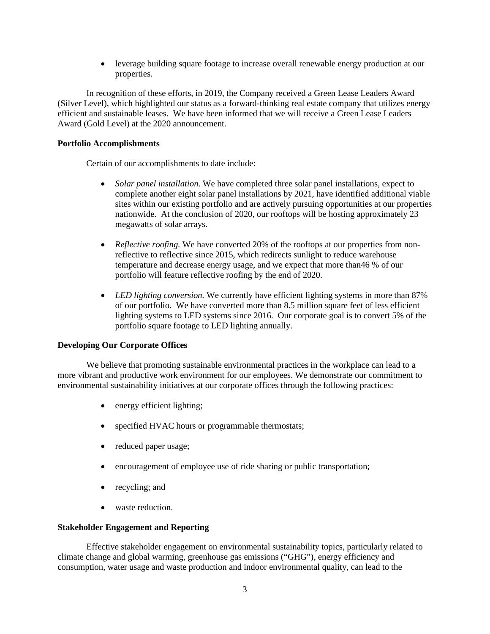• leverage building square footage to increase overall renewable energy production at our properties.

In recognition of these efforts, in 2019, the Company received a Green Lease Leaders Award (Silver Level), which highlighted our status as a forward-thinking real estate company that utilizes energy efficient and sustainable leases. We have been informed that we will receive a Green Lease Leaders Award (Gold Level) at the 2020 announcement.

### **Portfolio Accomplishments**

Certain of our accomplishments to date include:

- *Solar panel installation*. We have completed three solar panel installations, expect to complete another eight solar panel installations by 2021, have identified additional viable sites within our existing portfolio and are actively pursuing opportunities at our properties nationwide. At the conclusion of 2020, our rooftops will be hosting approximately 23 megawatts of solar arrays.
- *Reflective roofing*. We have converted 20% of the rooftops at our properties from nonreflective to reflective since 2015, which redirects sunlight to reduce warehouse temperature and decrease energy usage, and we expect that more than46 % of our portfolio will feature reflective roofing by the end of 2020.
- *LED lighting conversion.* We currently have efficient lighting systems in more than 87% of our portfolio. We have converted more than 8.5 million square feet of less efficient lighting systems to LED systems since 2016. Our corporate goal is to convert 5% of the portfolio square footage to LED lighting annually.

### **Developing Our Corporate Offices**

We believe that promoting sustainable environmental practices in the workplace can lead to a more vibrant and productive work environment for our employees. We demonstrate our commitment to environmental sustainability initiatives at our corporate offices through the following practices:

- energy efficient lighting;
- specified HVAC hours or programmable thermostats;
- reduced paper usage;
- encouragement of employee use of ride sharing or public transportation;
- recycling; and
- waste reduction.

### **Stakeholder Engagement and Reporting**

Effective stakeholder engagement on environmental sustainability topics, particularly related to climate change and global warming, greenhouse gas emissions ("GHG"), energy efficiency and consumption, water usage and waste production and indoor environmental quality, can lead to the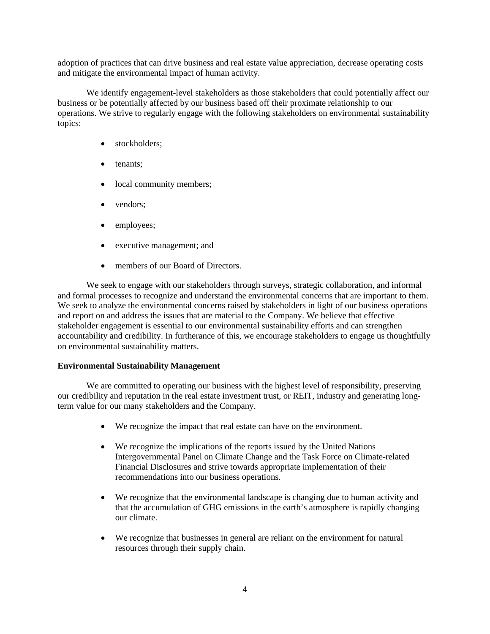adoption of practices that can drive business and real estate value appreciation, decrease operating costs and mitigate the environmental impact of human activity.

We identify engagement-level stakeholders as those stakeholders that could potentially affect our business or be potentially affected by our business based off their proximate relationship to our operations. We strive to regularly engage with the following stakeholders on environmental sustainability topics:

- stockholders:
- tenants;
- local community members;
- vendors;
- employees;
- executive management; and
- members of our Board of Directors.

We seek to engage with our stakeholders through surveys, strategic collaboration, and informal and formal processes to recognize and understand the environmental concerns that are important to them. We seek to analyze the environmental concerns raised by stakeholders in light of our business operations and report on and address the issues that are material to the Company. We believe that effective stakeholder engagement is essential to our environmental sustainability efforts and can strengthen accountability and credibility. In furtherance of this, we encourage stakeholders to engage us thoughtfully on environmental sustainability matters.

### **Environmental Sustainability Management**

We are committed to operating our business with the highest level of responsibility, preserving our credibility and reputation in the real estate investment trust, or REIT, industry and generating longterm value for our many stakeholders and the Company.

- We recognize the impact that real estate can have on the environment.
- We recognize the implications of the reports issued by the United Nations Intergovernmental Panel on Climate Change and the Task Force on Climate-related Financial Disclosures and strive towards appropriate implementation of their recommendations into our business operations.
- We recognize that the environmental landscape is changing due to human activity and that the accumulation of GHG emissions in the earth's atmosphere is rapidly changing our climate.
- We recognize that businesses in general are reliant on the environment for natural resources through their supply chain.